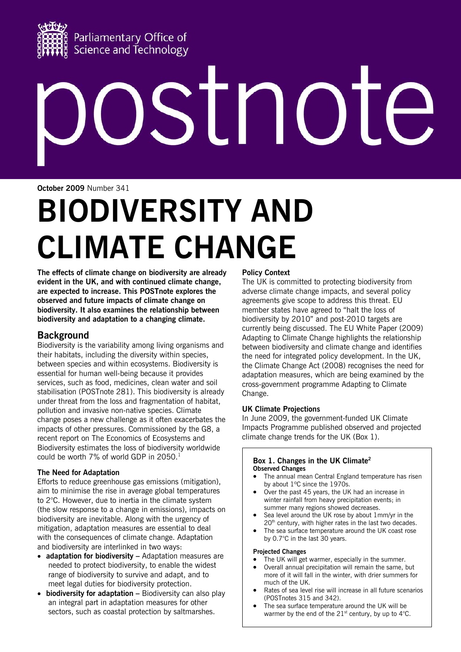

# STI NO

**October 2009** Number 341

# **BIODIVERSITY AND CLIMATE CHANGE**

**The effects of climate change on biodiversity are already evident in the UK, and with continued climate change, are expected to increase. This POSTnote explores the observed and future impacts of climate change on biodiversity. It also examines the relationship between biodiversity and adaptation to a changing climate.** 

# **Background**

Biodiversity is the variability among living organisms and their habitats, including the diversity within species, between species and within ecosystems. Biodiversity is essential for human well-being because it provides services, such as food, medicines, clean water and soil stabilisation (POSTnote 281). This biodiversity is already under threat from the loss and fragmentation of habitat, pollution and invasive non-native species. Climate change poses a new challenge as it often exacerbates the impacts of other pressures. Commissioned by the G8, a recent report on The Economics of Ecosystems and Biodiversity estimates the loss of biodiversity worldwide could be worth 7% of world GDP in 2050.<sup>1</sup>

# **The Need for Adaptation**

Efforts to reduce greenhouse gas emissions (mitigation), aim to minimise the rise in average global temperatures to 2°C. However, due to inertia in the climate system (the slow response to a change in emissions), impacts on biodiversity are inevitable. Along with the urgency of mitigation, adaptation measures are essential to deal with the consequences of climate change. Adaptation and biodiversity are interlinked in two ways:

- **adaptation for biodiversity** Adaptation measures are needed to protect biodiversity, to enable the widest range of biodiversity to survive and adapt, and to meet legal duties for biodiversity protection.
- **biodiversity for adaptation** Biodiversity can also play an integral part in adaptation measures for other sectors, such as coastal protection by saltmarshes.

# **Policy Context**

The UK is committed to protecting biodiversity from adverse climate change impacts, and several policy agreements give scope to address this threat. EU member states have agreed to "halt the loss of biodiversity by 2010" and post-2010 targets are currently being discussed. The EU White Paper (2009) Adapting to Climate Change highlights the relationship between biodiversity and climate change and identifies the need for integrated policy development. In the UK, the Climate Change Act (2008) recognises the need for adaptation measures, which are being examined by the cross-government programme Adapting to Climate Change.

# **UK Climate Projections**

In June 2009, the government-funded UK Climate Impacts Programme published observed and projected climate change trends for the UK (Box 1).

#### **Box 1. Changes in the UK Climate2 Observed Changes**

- The annual mean Central England temperature has risen by about 1ºC since the 1970s.
- Over the past 45 years, the UK had an increase in winter rainfall from heavy precipitation events; in summer many regions showed decreases.
- Sea level around the UK rose by about 1mm/yr in the  $20<sup>th</sup>$  century, with higher rates in the last two decades.
- The sea surface temperature around the UK coast rose by 0.7°C in the last 30 years.

#### **Projected Changes**

- The UK will get warmer, especially in the summer.
- Overall annual precipitation will remain the same, but more of it will fall in the winter, with drier summers for much of the UK.
- Rates of sea level rise will increase in all future scenarios (POSTnotes 315 and 342).
- The sea surface temperature around the UK will be warmer by the end of the  $21<sup>st</sup>$  century, by up to 4 $<sup>o</sup>C$ .</sup>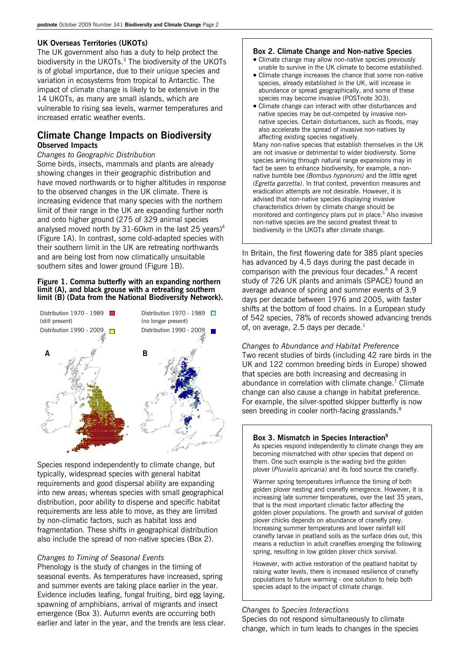#### **UK Overseas Territories (UKOTs)**

The UK government also has a duty to help protect the biodiversity in the UKOTs. $3$  The biodiversity of the UKOTs is of global importance, due to their unique species and variation in ecosystems from tropical to Antarctic. The impact of climate change is likely to be extensive in the 14 UKOTs, as many are small islands, which are vulnerable to rising sea levels, warmer temperatures and increased erratic weather events.

# **Climate Change Impacts on Biodiversity Observed Impacts**

*Changes to Geographic Distribution* 

Some birds, insects, mammals and plants are already showing changes in their geographic distribution and have moved northwards or to higher altitudes in response to the observed changes in the UK climate. There is increasing evidence that many species with the northern limit of their range in the UK are expanding further north and onto higher ground (275 of 329 animal species analysed moved north by 31-60km in the last 25 years)<sup>4</sup> (Figure 1A). In contrast, some cold-adapted species with their southern limit in the UK are retreating northwards and are being lost from now climatically unsuitable southern sites and lower ground (Figure 1B).

#### **Figure 1. Comma butterfly with an expanding northern limit (A), and black grouse with a retreating southern limit (B) (Data from the National Biodiversity Network).**



Species respond independently to climate change, but typically, widespread species with general habitat requirements and good dispersal ability are expanding into new areas; whereas species with small geographical distribution, poor ability to disperse and specific habitat requirements are less able to move, as they are limited by non-climatic factors, such as habitat loss and fragmentation. These shifts in geographical distribution also include the spread of non-native species (Box 2).

# *Changes to Timing of Seasonal Events*

Phenology is the study of changes in the timing of seasonal events. As temperatures have increased, spring and summer events are taking place earlier in the year. Evidence includes leafing, fungal fruiting, bird egg laying, spawning of amphibians, arrival of migrants and insect emergence (Box 3). Autumn events are occurring both earlier and later in the year, and the trends are less clear.

# **Box 2. Climate Change and Non-native Species**

- Climate change may allow non-native species previously unable to survive in the UK climate to become established.
- Climate change increases the chance that some non-native species, already established in the UK, will increase in abundance or spread geographically, and some of these species may become invasive (POSTnote 303).
- Climate change can interact with other disturbances and native species may be out-competed by invasive nonnative species. Certain disturbances, such as floods, may also accelerate the spread of invasive non-natives by affecting existing species negatively.

Many non-native species that establish themselves in the UK are not invasive or detrimental to wider biodiversity. Some species arriving through natural range expansions may in fact be seen to enhance biodiversity, for example, a nonnative bumble bee *(Bombus hypnorum)* and the little egret *(Egretta garzetta)*. In that context, prevention measures and eradication attempts are not desirable. However, it is advised that non-native species displaying invasive characteristics driven by climate change should be monitored and contingency plans put in place.<sup>5</sup> Also invasive non-native species are the second greatest threat to biodiversity in the UKOTs after climate change.

In Britain, the first flowering date for 385 plant species has advanced by 4.5 days during the past decade in comparison with the previous four decades.<sup>6</sup> A recent study of 726 UK plants and animals (SPACE) found an average advance of spring and summer events of 3.9 days per decade between 1976 and 2005, with faster shifts at the bottom of food chains. In a European study of 542 species, 78% of records showed advancing trends of, on average, 2.5 days per decade. $^1$ 

# *Changes to Abundance and Habitat Preference*

Two recent studies of birds (including 42 rare birds in the UK and 122 common breeding birds in Europe) showed that species are both increasing and decreasing in abundance in correlation with climate change.<sup>7</sup> Climate change can also cause a change in habitat preference. For example, the silver-spotted skipper butterfly is now seen breeding in cooler north-facing grasslands. $^8$ 

# **Box 3. Mismatch in Species Interaction9**

As species respond independently to climate change they are becoming mismatched with other species that depend on them. One such example is the wading bird the golden plover (*Pluvialis apricaria*) and its food source the cranefly.

Warmer spring temperatures influence the timing of both golden plover nesting and cranefly emergence. However, it is increasing late summer temperatures, over the last 35 years, that is the most important climatic factor affecting the golden plover populations. The growth and survival of golden plover chicks depends on abundance of cranefly prey. Increasing summer temperatures and lower rainfall kill cranefly larvae in peatland soils as the surface dries out, this means a reduction in adult craneflies emerging the following spring, resulting in low golden plover chick survival.

However, with active restoration of the peatland habitat by raising water levels, there is increased resilience of cranefly populations to future warming - one solution to help both species adapt to the impact of climate change.

# *Changes to Species Interactions*

Species do not respond simultaneously to climate change, which in turn leads to changes in the species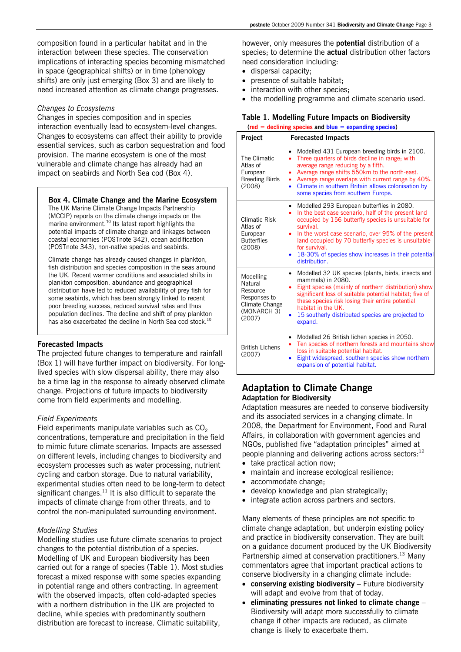composition found in a particular habitat and in the interaction between these species. The conservation implications of interacting species becoming mismatched in space (geographical shifts) or in time (phenology shifts) are only just emerging (Box 3) and are likely to need increased attention as climate change progresses.

#### *Changes to Ecosystems*

Changes in species composition and in species interaction eventually lead to ecosystem-level changes. Changes to ecosystems can affect their ability to provide essential services, such as carbon sequestration and food provision. The marine ecosystem is one of the most vulnerable and climate change has already had an impact on seabirds and North Sea cod (Box 4).

#### **Box 4. Climate Change and the Marine Ecosystem**

The UK Marine Climate Change Impacts Partnership (MCCIP) reports on the climate change impacts on the marine environment.<sup>10</sup> Its latest report highlights the potential impacts of climate change and linkages between coastal economies (POSTnote 342), ocean acidification (POSTnote 343), non-native species and seabirds.

Climate change has already caused changes in plankton, fish distribution and species composition in the seas around the UK. Recent warmer conditions and associated shifts in plankton composition, abundance and geographical distribution have led to reduced availability of prey fish for some seabirds, which has been strongly linked to recent poor breeding success, reduced survival rates and thus population declines. The decline and shift of prey plankton has also exacerbated the decline in North Sea cod stock.<sup>10</sup>

#### **Forecasted Impacts**

The projected future changes to temperature and rainfall (Box 1) will have further impact on biodiversity. For longlived species with slow dispersal ability, there may also be a time lag in the response to already observed climate change. Projections of future impacts to biodiversity come from field experiments and modelling.

#### *Field Experiments*

Field experiments manipulate variables such as  $CO<sub>2</sub>$ concentrations, temperature and precipitation in the field to mimic future climate scenarios. Impacts are assessed on different levels, including changes to biodiversity and ecosystem processes such as water processing, nutrient cycling and carbon storage. Due to natural variability, experimental studies often need to be long-term to detect significant changes. $11$  It is also difficult to separate the impacts of climate change from other threats, and to control the non-manipulated surrounding environment.

#### *Modelling Studies*

Modelling studies use future climate scenarios to project changes to the potential distribution of a species. Modelling of UK and European biodiversity has been carried out for a range of species (Table 1). Most studies forecast a mixed response with some species expanding in potential range and others contracting. In agreement with the observed impacts, often cold-adapted species with a northern distribution in the UK are projected to decline, while species with predominantly southern distribution are forecast to increase. Climatic suitability,

however, only measures the **potential** distribution of a species; to determine the **actual** distribution other factors need consideration including:

- dispersal capacity;
- presence of suitable habitat;
- interaction with other species;
- the modelling programme and climate scenario used.

#### **Table 1. Modelling Future Impacts on Biodiversity**

**(red = declining species and blue = expanding species)** 

| Project                                                                                     | <b>Forecasted Impacts</b>                                                                                                                                                                                                                                                                                                                                                                   |
|---------------------------------------------------------------------------------------------|---------------------------------------------------------------------------------------------------------------------------------------------------------------------------------------------------------------------------------------------------------------------------------------------------------------------------------------------------------------------------------------------|
| The Climatic<br>Atlas of<br>European<br><b>Breeding Birds</b><br>(2008)                     | Modelled 431 European breeding birds in 2100.<br>$\bullet$<br>Three quarters of birds decline in range; with<br>٠<br>average range reducing by a fifth.<br>Average range shifts 550km to the north-east.<br>٠<br>Average range overlaps with current range by 40%.<br>٠<br>Climate in southern Britain allows colonisation by<br>$\bullet$<br>some species from southern Europe.            |
| Climatic Risk<br>Atlas of<br>European<br><b>Butterflies</b><br>(2008)                       | Modelled 293 European butterflies in 2080.<br>٠<br>In the best case scenario, half of the present land<br>٠<br>occupied by 156 butterfly species is unsuitable for<br>survival.<br>In the worst case scenario, over 95% of the present<br>٠<br>land occupied by 70 butterfly species is unsuitable<br>for survival.<br>18-30% of species show increases in their potential<br>distribution. |
| Modelling<br>Natural<br>Resource<br>Responses to<br>Climate Change<br>(MONARCH 3)<br>(2007) | Modelled 32 UK species (plants, birds, insects and<br>$\bullet$<br>mammals) in 2080.<br>Eight species (mainly of northern distribution) show<br>$\bullet$<br>significant loss of suitable potential habitat; five of<br>these species risk losing their entire potential<br>habitat in the UK.<br>15 southerly distributed species are projected to<br>expand.                              |
| <b>British Lichens</b><br>(2007)                                                            | Modelled 26 British lichen species in 2050.<br>Ten species of northern forests and mountains show<br>٠<br>loss in suitable potential habitat.<br>Eight widespread, southern species show northern<br>expansion of potential habitat.                                                                                                                                                        |

# **Adaptation to Climate Change Adaptation for Biodiversity**

Adaptation measures are needed to conserve biodiversity and its associated services in a changing climate. In 2008, the Department for Environment, Food and Rural Affairs, in collaboration with government agencies and NGOs, published five "adaptation principles" aimed at people planning and delivering actions across sectors:<sup>12</sup>

- take practical action now:
- maintain and increase ecological resilience;
- accommodate change;
- develop knowledge and plan strategically;
- integrate action across partners and sectors.

Many elements of these principles are not specific to climate change adaptation, but underpin existing policy and practice in biodiversity conservation. They are built on a guidance document produced by the UK Biodiversity Partnership aimed at conservation practitioners.<sup>13</sup> Many commentators agree that important practical actions to conserve biodiversity in a changing climate include:

- **conserving existing biodiversity** Future biodiversity will adapt and evolve from that of today.
- **eliminating pressures not linked to climate change** Biodiversity will adapt more successfully to climate change if other impacts are reduced, as climate change is likely to exacerbate them.